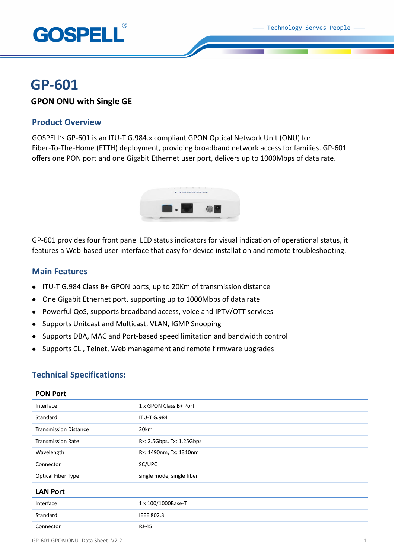

# **GP-601**

## **GPON ONU with Single GE**

## **Product Overview**

GOSPELL's GP-601 is an ITU-T G.984.x compliant GPON Optical Network Unit (ONU) for Fiber-To-The-Home (FTTH) deployment, providing broadband network access for families. GP-601 offers one PON port and one Gigabit Ethernet user port, delivers up to 1000Mbps of data rate.



GP-601 provides four front panel LED status indicators for visual indication of operational status, it features a Web-based user interface that easy for device installation and remote troubleshooting.

## **Main Features**

- ITU-T G.984 Class B+ GPON ports, up to 20Km of transmission distance
- One Gigabit Ethernet port, supporting up to 1000Mbps of data rate
- Powerful QoS, supports broadband access, voice and IPTV/OTT services
- Supports Unitcast and Multicast, VLAN, IGMP Snooping
- Supports DBA, MAC and Port-based speed limitation and bandwidth control
- Supports CLI, Telnet, Web management and remote firmware upgrades

## **Technical Specifications:**

| Interface                    | 1 x GPON Class B+ Port    |
|------------------------------|---------------------------|
| Standard                     | <b>ITU-T G.984</b>        |
| <b>Transmission Distance</b> | 20km                      |
| <b>Transmission Rate</b>     | Rx: 2.5Gbps, Tx: 1.25Gbps |
| Wavelength                   | Rx: 1490nm, Tx: 1310nm    |
| Connector                    | SC/UPC                    |
| Optical Fiber Type           | single mode, single fiber |
| <b>LAN Port</b>              |                           |
| Interface                    | 1 x 100/1000Base-T        |
| Standard                     | <b>IEEE 802.3</b>         |
| Connector                    | <b>RJ-45</b>              |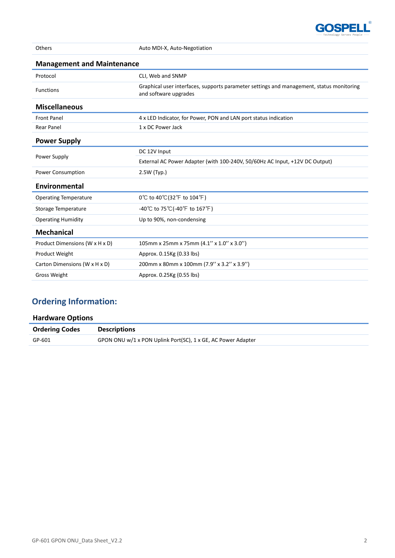

| Others                            | Auto MDI-X, Auto-Negotiation                                                                                      |
|-----------------------------------|-------------------------------------------------------------------------------------------------------------------|
| <b>Management and Maintenance</b> |                                                                                                                   |
| Protocol                          | CLI, Web and SNMP                                                                                                 |
| <b>Functions</b>                  | Graphical user interfaces, supports parameter settings and management, status monitoring<br>and software upgrades |
| <b>Miscellaneous</b>              |                                                                                                                   |
| <b>Front Panel</b>                | 4 x LED Indicator, for Power, PON and LAN port status indication                                                  |
| <b>Rear Panel</b>                 | 1 x DC Power Jack                                                                                                 |
| <b>Power Supply</b>               |                                                                                                                   |
| Power Supply                      | DC 12V Input                                                                                                      |
|                                   | External AC Power Adapter (with 100-240V, 50/60Hz AC Input, +12V DC Output)                                       |
| Power Consumption                 | 2.5W (Typ.)                                                                                                       |
| Environmental                     |                                                                                                                   |
| <b>Operating Temperature</b>      | 0℃ to 40℃(32°F to 104°F)                                                                                          |
| Storage Temperature               | -40 °C to 75 °C (-40 °F to 167 °F)                                                                                |
| <b>Operating Humidity</b>         | Up to 90%, non-condensing                                                                                         |
| <b>Mechanical</b>                 |                                                                                                                   |
| Product Dimensions (W x H x D)    | 105mm x 25mm x 75mm (4.1" x 1.0" x 3.0")                                                                          |
| Product Weight                    | Approx. 0.15Kg (0.33 lbs)                                                                                         |
| Carton Dimensions (W x H x D)     | 200mm x 80mm x 100mm (7.9" x 3.2" x 3.9")                                                                         |
| <b>Gross Weight</b>               | Approx. 0.25Kg (0.55 lbs)                                                                                         |

## **Ordering Information:**

| <b>Hardware Options</b> |                                                              |  |
|-------------------------|--------------------------------------------------------------|--|
| <b>Ordering Codes</b>   | <b>Descriptions</b>                                          |  |
| GP-601                  | GPON ONU w/1 x PON Uplink Port(SC), 1 x GE, AC Power Adapter |  |